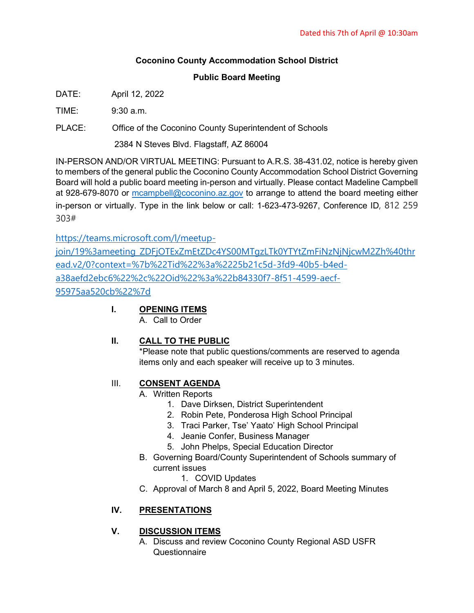## **Coconino County Accommodation School District**

## **Public Board Meeting**

DATE: April 12, 2022

 $TIME: 9:30 \text{ a m}$ 

PLACE: Office of the Coconino County Superintendent of Schools

2384 N Steves Blvd. Flagstaff, AZ 86004

IN-PERSON AND/OR VIRTUAL MEETING: Pursuant to A.R.S. 38-431.02, notice is hereby given to members of the general public the Coconino County Accommodation School District Governing Board will hold a public board meeting in-person and virtually. Please contact Madeline Campbell at 928-679-8070 or [mcampbell@coconino.az.gov](mailto:mcampbell@coconino.az.gov) to arrange to attend the board meeting either in-person or virtually. Type in the link below or call: 1-623-473-9267, Conference ID, 812 259 303#

[https://teams.microsoft.com/l/meetup-](https://teams.microsoft.com/l/meetup-join/19%3ameeting_ZDFjOTExZmEtZDc4YS00MTgzLTk0YTYtZmFiNzNjNjcwM2Zh%40thread.v2/0?context=%7b%22Tid%22%3a%2225b21c5d-3fd9-40b5-b4ed-a38aefd2ebc6%22%2c%22Oid%22%3a%22b84330f7-8f51-4599-aecf-95975aa520cb%22%7d)

[join/19%3ameeting\\_ZDFjOTExZmEtZDc4YS00MTgzLTk0YTYtZmFiNzNjNjcwM2Zh%40thr](https://teams.microsoft.com/l/meetup-join/19%3ameeting_ZDFjOTExZmEtZDc4YS00MTgzLTk0YTYtZmFiNzNjNjcwM2Zh%40thread.v2/0?context=%7b%22Tid%22%3a%2225b21c5d-3fd9-40b5-b4ed-a38aefd2ebc6%22%2c%22Oid%22%3a%22b84330f7-8f51-4599-aecf-95975aa520cb%22%7d) [ead.v2/0?context=%7b%22Tid%22%3a%2225b21c5d-3fd9-40b5-b4ed](https://teams.microsoft.com/l/meetup-join/19%3ameeting_ZDFjOTExZmEtZDc4YS00MTgzLTk0YTYtZmFiNzNjNjcwM2Zh%40thread.v2/0?context=%7b%22Tid%22%3a%2225b21c5d-3fd9-40b5-b4ed-a38aefd2ebc6%22%2c%22Oid%22%3a%22b84330f7-8f51-4599-aecf-95975aa520cb%22%7d)[a38aefd2ebc6%22%2c%22Oid%22%3a%22b84330f7-8f51-4599-aecf-](https://teams.microsoft.com/l/meetup-join/19%3ameeting_ZDFjOTExZmEtZDc4YS00MTgzLTk0YTYtZmFiNzNjNjcwM2Zh%40thread.v2/0?context=%7b%22Tid%22%3a%2225b21c5d-3fd9-40b5-b4ed-a38aefd2ebc6%22%2c%22Oid%22%3a%22b84330f7-8f51-4599-aecf-95975aa520cb%22%7d)[95975aa520cb%22%7d](https://teams.microsoft.com/l/meetup-join/19%3ameeting_ZDFjOTExZmEtZDc4YS00MTgzLTk0YTYtZmFiNzNjNjcwM2Zh%40thread.v2/0?context=%7b%22Tid%22%3a%2225b21c5d-3fd9-40b5-b4ed-a38aefd2ebc6%22%2c%22Oid%22%3a%22b84330f7-8f51-4599-aecf-95975aa520cb%22%7d)

## **I. OPENING ITEMS**

A. Call to Order

## **II. CALL TO THE PUBLIC**

\*Please note that public questions/comments are reserved to agenda items only and each speaker will receive up to 3 minutes.

## III. **CONSENT AGENDA**

- A. Written Reports
	- 1. Dave Dirksen, District Superintendent
	- 2. Robin Pete, Ponderosa High School Principal
	- 3. Traci Parker, Tse' Yaato' High School Principal
	- 4. Jeanie Confer, Business Manager
	- 5. John Phelps, Special Education Director
- B. Governing Board/County Superintendent of Schools summary of current issues
	- 1. COVID Updates
- C. Approval of March 8 and April 5, 2022, Board Meeting Minutes

# **IV. PRESENTATIONS**

# **V. DISCUSSION ITEMS**

A. Discuss and review Coconino County Regional ASD USFR Questionnaire